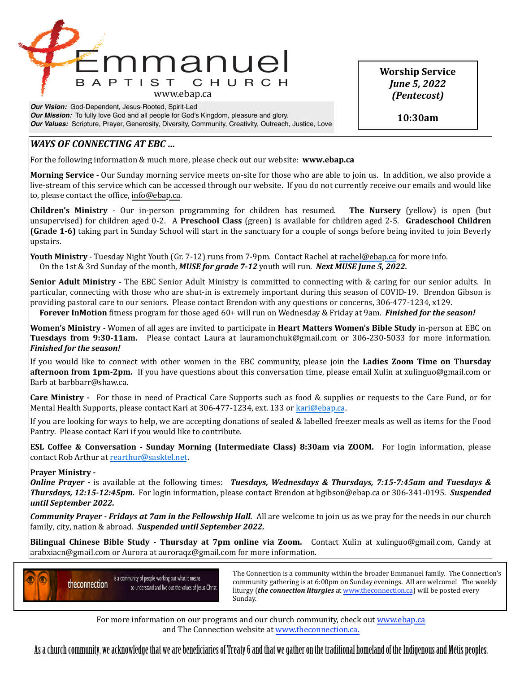

*Our Vision:* God-Dependent, Jesus-Rooted, Spirit-Led *Our Mission:* To fully love God and all people for God's Kingdom, pleasure and glory. *Our Values:* Scripture, Prayer, Generosity, Diversity, Community, Creativity, Outreach, Justice, Love **Worship Service** *June 5, 2022 (Pentecost)*

**10:30am**

# *WAYS* OF CONNECTING AT EBC ...

For the following information & much more, please check out our website: **www.ebap.ca** 

**Morning Service** - Our Sunday morning service meets on-site for those who are able to join us. In addition, we also provide a live-stream of this service which can be accessed through our website. If you do not currently receive our emails and would like to, please contact the office, info@ebap.ca.

**Children's Ministry** - Our in-person programming for children has resumed. The Nursery (yellow) is open (but unsupervised) for children aged 0-2. A Preschool Class (green) is available for children aged 2-5. Gradeschool Children **(Grade 1-6)** taking part in Sunday School will start in the sanctuary for a couple of songs before being invited to join Beverly upstairs. 

**Youth Ministry** - Tuesday Night Youth (Gr. 7-12) runs from 7-9pm. Contact Rachel at [rachel@ebap.ca](mailto:rachel@ebap.ca) for more info. On the 1st & 3rd Sunday of the month, *MUSE for grade 7-12* youth will run. *Next MUSE June 5, 2022.* 

**Senior Adult Ministry** - The EBC Senior Adult Ministry is committed to connecting with & caring for our senior adults. In particular, connecting with those who are shut-in is extremely important during this season of COVID-19. Brendon Gibson is providing pastoral care to our seniors. Please contact Brendon with any questions or concerns, 306-477-1234, x129.

**Forever InMotion** fitness program for those aged 60+ will run on Wednesday & Friday at 9am. *Finished for the season!* 

**Women's Ministry** - Women of all ages are invited to participate in **Heart Matters Women's Bible Study** in-person at EBC on **Tuesdays from 9:30-11am.** Please contact Laura at lauramonchuk@gmail.com or 306-230-5033 for more information. *Finished for the season!* 

If you would like to connect with other women in the EBC community, please join the Ladies Zoom Time on Thursday **afternoon from 1pm-2pm.** If you have questions about this conversation time, please email Xulin at xulinguo@gmail.com or Barb at barbbarr@shaw.ca.

**Care Ministry** - For those in need of Practical Care Supports such as food & supplies or requests to the Care Fund, or for Mental Health Supports, please contact Kari at 306-477-1234, ext. 133 or [kari@ebap.ca.](mailto:kari@ebap.ca)

If you are looking for ways to help, we are accepting donations of sealed & labelled freezer meals as well as items for the Food Pantry. Please contact Kari if you would like to contribute.

**ESL Coffee & Conversation - Sunday Morning (Intermediate Class) 8:30am via ZOOM.** For login information, please contact Rob Arthur at [rearthur@sasktel.net.](mailto:rearthur@sasktel.net)

## **Prayer Ministry -**

*Online Prayer* - is available at the following times: *Tuesdays, Wednesdays & Thursdays, 7:15-7:45am and Tuesdays &* **Thursdays, 12:15-12:45pm.** For login information, please contact Brendon at bgibson@ebap.ca or 306-341-0195. Suspended *until September 2022.* 

**Community Prayer** - Fridays at 7am in the Fellowship Hall. All are welcome to join us as we pray for the needs in our church family, city, nation & abroad. Suspended until September 2022.

**Bilingual Chinese Bible Study - Thursday at 7pm online via Zoom.** Contact Xulin at xulinguo@gmail.com, Candy at arabxiacn@gmail.com or Aurora at auroraqz@gmail.com for more information.



Is a community of people working out what it means<br>
a community are the prima is at 6.00 nm on Sunday ayoning a 11 are yellowned. The yugokly community gathering is at 6:00pm on Sunday evenings. All are welcome! The weekly liturgy (*the connection liturgies* at www.theconnection.ca) will be posted every Sunday. The contract of the contract of the contract of the contract of the contract of the contract of the contract of the contract of the contract of the contract of the contract of the contract of the contract of the co

For more information on our programs and our church community, check out www.ebap.ca and The Connection website at [www.theconnection.ca](http://www.theconnection.ca).

As a church community, we acknowledge that we are benefciaries of Treaty 6 and that we gather on the traditional homeland of the Indigenous and Métis peoples.